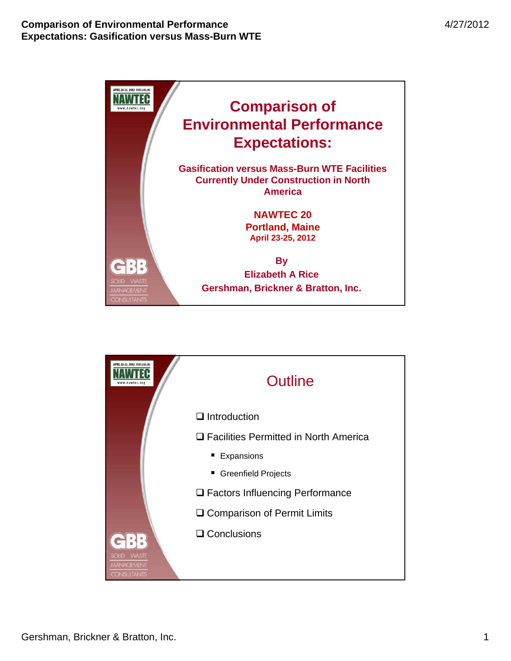

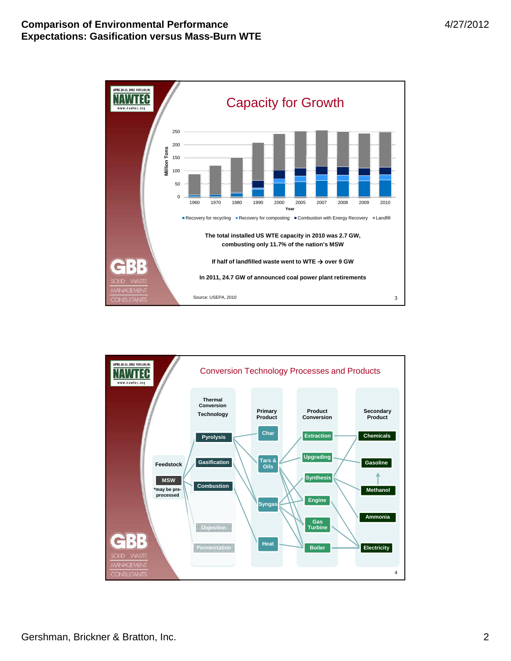

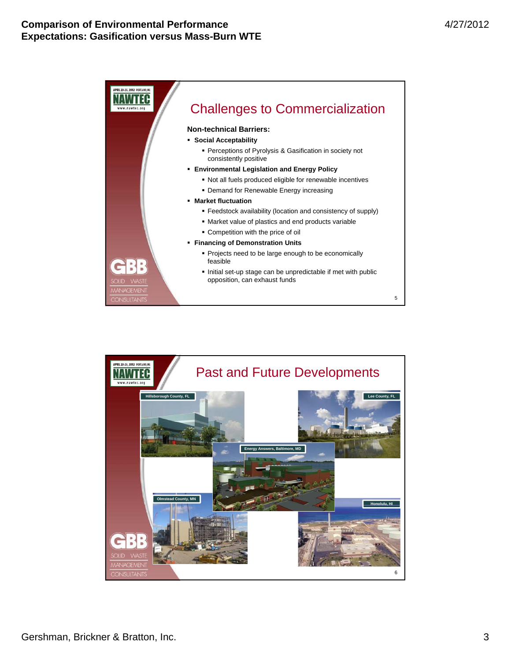

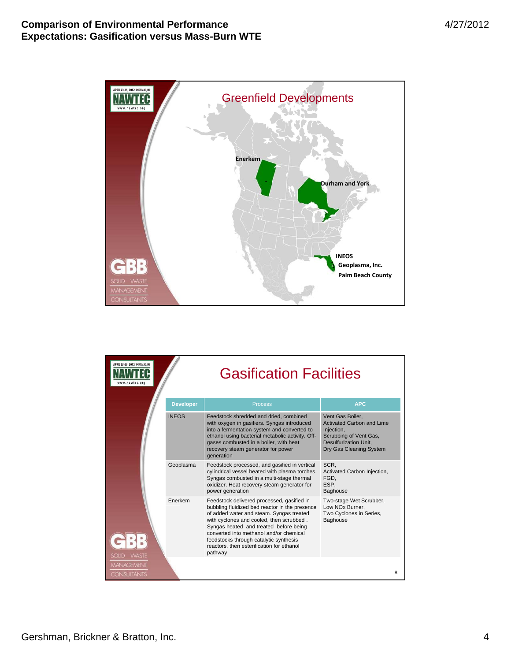

| APRIL 23-25, 2012 PORTLAND, ME<br>nawtec.org |                  | <b>Gasification Facilities</b>                                                                                                                                                                                                                                                                                                                                              |                                                                                                                                                         |   |  |
|----------------------------------------------|------------------|-----------------------------------------------------------------------------------------------------------------------------------------------------------------------------------------------------------------------------------------------------------------------------------------------------------------------------------------------------------------------------|---------------------------------------------------------------------------------------------------------------------------------------------------------|---|--|
|                                              | <b>Developer</b> | <b>Process</b>                                                                                                                                                                                                                                                                                                                                                              | <b>APC</b>                                                                                                                                              |   |  |
|                                              | <b>INEOS</b>     | Feedstock shredded and dried, combined<br>with oxygen in gasifiers. Syngas introduced<br>into a fermentation system and converted to<br>ethanol using bacterial metabolic activity. Off-<br>gases combusted in a boiler, with heat<br>recovery steam generator for power<br>generation                                                                                      | Vent Gas Boiler.<br><b>Activated Carbon and Lime</b><br>Injection,<br>Scrubbing of Vent Gas,<br><b>Desulfurization Unit.</b><br>Dry Gas Cleaning System |   |  |
| <b>WASTE</b><br>SOLID                        | Geoplasma        | Feedstock processed, and gasified in vertical<br>cylindrical vessel heated with plasma torches.<br>Syngas combusted in a multi-stage thermal<br>oxidizer. Heat recovery steam generator for<br>power generation                                                                                                                                                             | SCR.<br>Activated Carbon Injection,<br>FGD.<br>ESP.<br>Baghouse                                                                                         |   |  |
|                                              | Enerkem          | Feedstock delivered processed, gasified in<br>bubbling fluidized bed reactor in the presence<br>of added water and steam. Syngas treated<br>with cyclones and cooled, then scrubbed.<br>Syngas heated and treated before being<br>converted into methanol and/or chemical<br>feedstocks through catalytic synthesis<br>reactors, then esterification for ethanol<br>pathway | Two-stage Wet Scrubber,<br>Low NOx Burner,<br>Two Cyclones in Series,<br>Baghouse                                                                       |   |  |
| <b>MANAGEMENT</b><br><b>CONSULTANTS</b>      |                  |                                                                                                                                                                                                                                                                                                                                                                             |                                                                                                                                                         | 8 |  |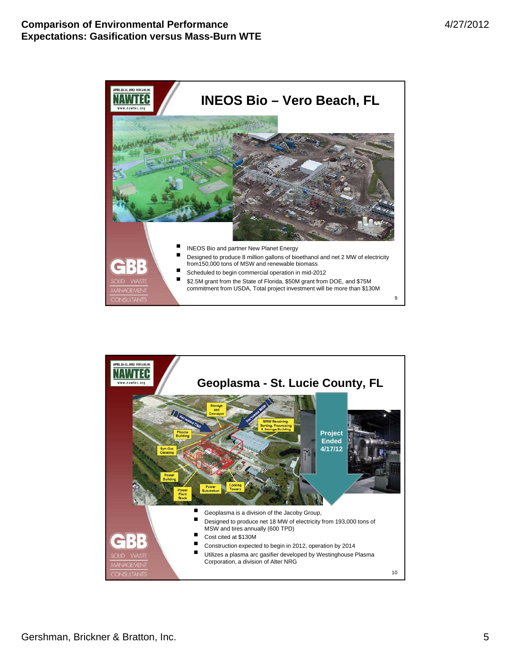

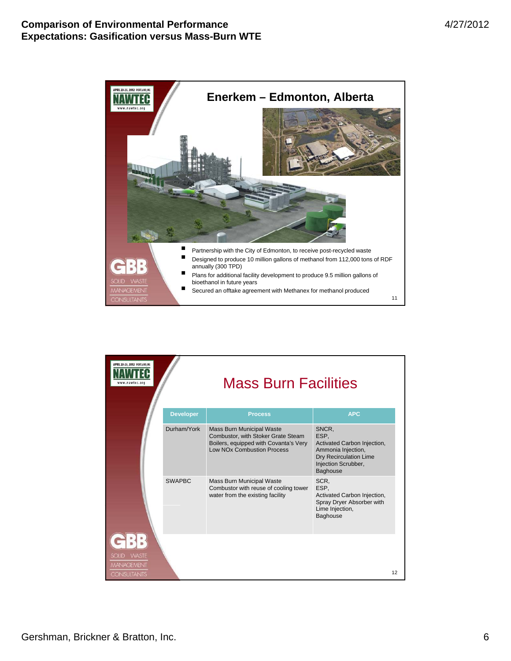

| APRIL 23-25, 2012 PORTLAND, ME                                          |                  | <b>Mass Burn Facilities</b>                                                                                                                   |                                                                                                                                        |    |  |  |
|-------------------------------------------------------------------------|------------------|-----------------------------------------------------------------------------------------------------------------------------------------------|----------------------------------------------------------------------------------------------------------------------------------------|----|--|--|
|                                                                         | <b>Developer</b> | <b>Process</b>                                                                                                                                | <b>APC</b>                                                                                                                             |    |  |  |
|                                                                         | Durham/York      | Mass Burn Municipal Waste<br>Combustor, with Stoker Grate Steam<br>Boilers, equipped with Covanta's Very<br><b>Low NOx Combustion Process</b> | SNCR,<br>ESP.<br>Activated Carbon Injection,<br>Ammonia Injection,<br>Dry Recirculation Lime<br>Injection Scrubber,<br><b>Baghouse</b> |    |  |  |
|                                                                         | <b>SWAPBC</b>    | Mass Burn Municipal Waste<br>Combustor with reuse of cooling tower<br>water from the existing facility                                        | SCR.<br>ESP.<br>Activated Carbon Injection,<br>Spray Dryer Absorber with<br>Lime Injection,<br><b>Baghouse</b>                         |    |  |  |
| <b>WASTE</b><br><b>SOLID</b><br><b>MANAGEMENT</b><br><b>CONSULTANTS</b> |                  |                                                                                                                                               |                                                                                                                                        | 12 |  |  |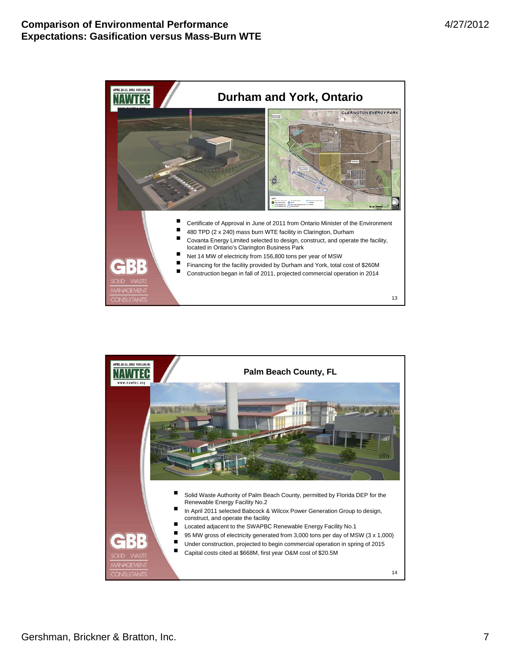

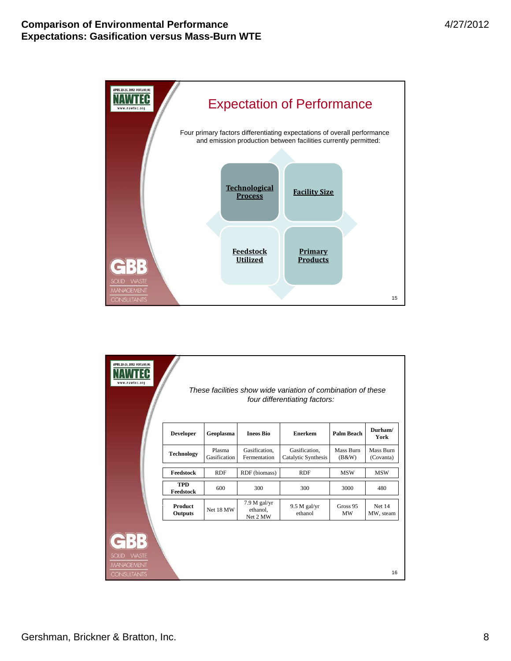

| APRIL 23-25, 2012 PORTLAND, ME<br>ww.nawtec.org<br>These facilities show wide variation of combination of these<br>four differentiating factors: |                           |                        |                                        |                                      |                           |                        |
|--------------------------------------------------------------------------------------------------------------------------------------------------|---------------------------|------------------------|----------------------------------------|--------------------------------------|---------------------------|------------------------|
|                                                                                                                                                  | <b>Developer</b>          | Geoplasma              | <b>Ineos Bio</b>                       | <b>Enerkem</b>                       | Palm Beach                | Durham/<br>York        |
|                                                                                                                                                  | <b>Technology</b>         | Plasma<br>Gasification | Gasification.<br>Fermentation          | Gasification.<br>Catalytic Synthesis | <b>Mass Burn</b><br>(B&W) | Mass Burn<br>(Covanta) |
|                                                                                                                                                  | Feedstock                 | <b>RDF</b>             | RDF (biomass)                          | <b>RDF</b>                           | <b>MSW</b>                | <b>MSW</b>             |
|                                                                                                                                                  | <b>TPD</b><br>Feedstock   | 600                    | 300                                    | 300                                  | 3000                      | 480                    |
|                                                                                                                                                  | <b>Product</b><br>Outputs | Net 18 MW              | $7.9 M$ gal/yr<br>ethanol,<br>Net 2 MW | $9.5 M$ gal/yr<br>ethanol            | Gross 95<br><b>MW</b>     | Net 14<br>MW, steam    |
| SOLID WASTE<br><b>MANAGEMENT</b><br><b>CONSULTANTS</b>                                                                                           |                           |                        |                                        |                                      |                           | 16                     |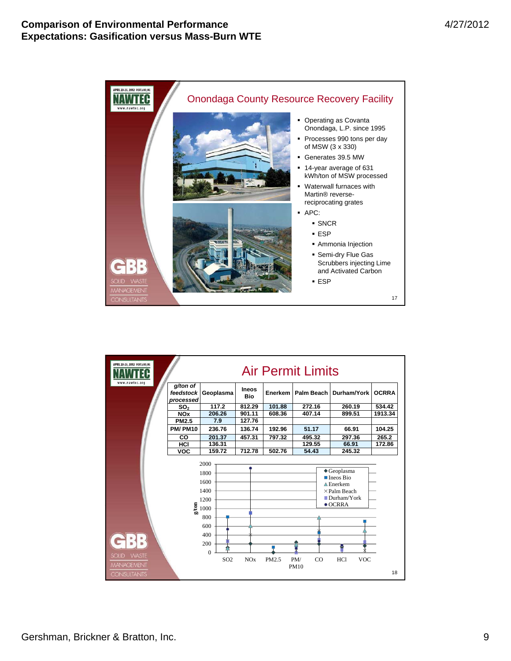

| <b>APRIL 23-25, 2012 PORTLAND, ME</b><br>.nawtec.org |                                    | <b>Air Permit Limits</b>                                                                                                   |                            |         |                          |                                                                                                                                                               |              |
|------------------------------------------------------|------------------------------------|----------------------------------------------------------------------------------------------------------------------------|----------------------------|---------|--------------------------|---------------------------------------------------------------------------------------------------------------------------------------------------------------|--------------|
|                                                      | g/ton of<br>feedstock<br>processed | Geoplasma                                                                                                                  | <b>Ineos</b><br><b>Bio</b> | Enerkem | Palm Beach               | Durham/York                                                                                                                                                   | <b>OCRRA</b> |
|                                                      | SO <sub>2</sub>                    | 117.2                                                                                                                      | 812.29                     | 101.88  | 272.16                   | 260.19                                                                                                                                                        | 534.42       |
|                                                      | <b>NO<sub>x</sub></b>              | 206.26                                                                                                                     | 901.11                     | 608.36  | 407.14                   | 899.51                                                                                                                                                        | 1913.34      |
|                                                      | <b>PM2.5</b>                       | 7.9                                                                                                                        | 127.76                     |         |                          |                                                                                                                                                               |              |
|                                                      | <b>PM/PM10</b>                     | 236.76                                                                                                                     | 136.74                     | 192.96  | 51.17                    | 66.91                                                                                                                                                         | 104.25       |
|                                                      | CO                                 | 201.37                                                                                                                     | 457.31                     | 797.32  | 495.32                   | 297.36                                                                                                                                                        | 265.2        |
|                                                      | HCI                                | 136.31                                                                                                                     |                            |         | 129.55                   | 66.91                                                                                                                                                         | 172.86       |
|                                                      | $\overline{V}$                     | 159.72                                                                                                                     | 712.78                     | 502.76  | 54.43                    | 245.32                                                                                                                                                        |              |
| <b>WASTE</b><br><b>SOLID</b><br><b>MANAGEMENT</b>    |                                    | 2000<br>1800<br>1600<br>1400<br>1200<br>$\frac{5}{20}$ 1000<br>800<br>600<br>400<br>200<br>$\mathbf{0}$<br>SO <sub>2</sub> | NOx                        | PM2.5   | PM/<br>CO<br><b>PM10</b> | $\triangle$ Geoplasma<br>$\blacksquare$ Ineos Bio<br>$\triangle$ Enerkem<br>$\times$ Palm Beach<br>Durham/York<br>$\bullet$ OCRRA<br><b>VOC</b><br><b>HCl</b> |              |
| <b>CONSULTANTS</b>                                   |                                    |                                                                                                                            |                            |         |                          |                                                                                                                                                               | 18           |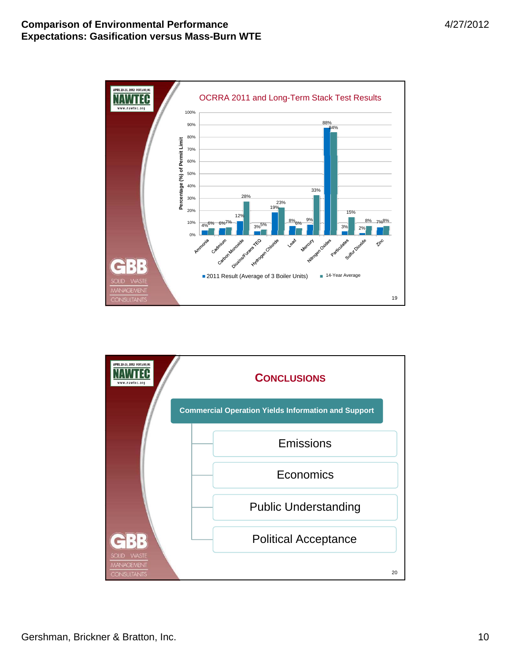

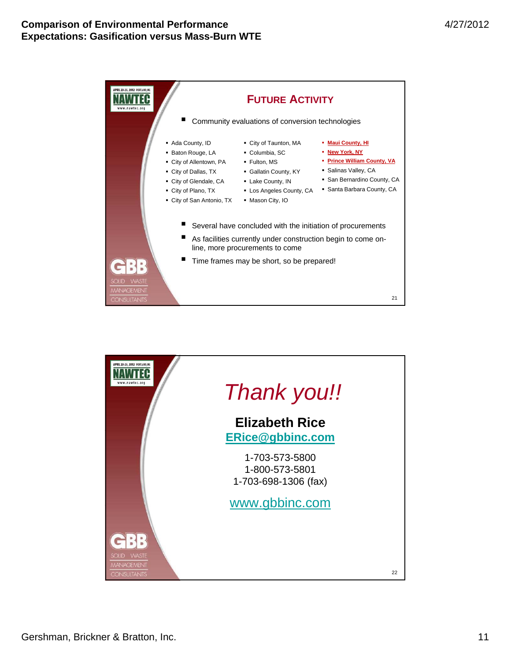